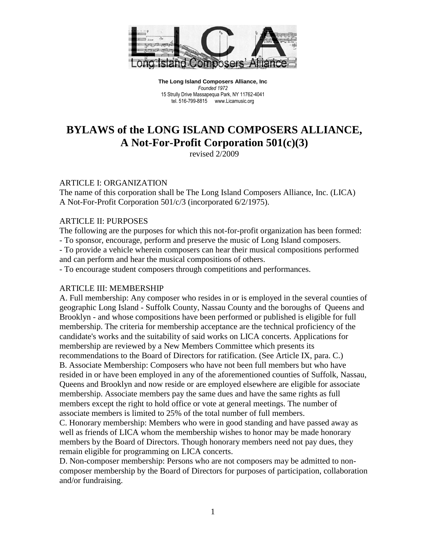

# **BYLAWS of the LONG ISLAND COMPOSERS ALLIANCE, A Not-For-Profit Corporation 501(c)(3)**

revised 2/2009

#### ARTICLE I: ORGANIZATION

The name of this corporation shall be The Long Island Composers Alliance, Inc. (LICA) A Not-For-Profit Corporation 501/c/3 (incorporated 6/2/1975).

#### ARTICLE II: PURPOSES

The following are the purposes for which this not-for-profit organization has been formed:

- To sponsor, encourage, perform and preserve the music of Long Island composers.

- To provide a vehicle wherein composers can hear their musical compositions performed and can perform and hear the musical compositions of others.

- To encourage student composers through competitions and performances.

### ARTICLE III: MEMBERSHIP

A. Full membership: Any composer who resides in or is employed in the several counties of geographic Long Island - Suffolk County, Nassau County and the boroughs of Queens and Brooklyn - and whose compositions have been performed or published is eligible for full membership. The criteria for membership acceptance are the technical proficiency of the candidate's works and the suitability of said works on LICA concerts. Applications for membership are reviewed by a New Members Committee which presents its recommendations to the Board of Directors for ratification. (See Article IX, para. C.) B. Associate Membership: Composers who have not been full members but who have resided in or have been employed in any of the aforementioned counties of Suffolk, Nassau, Queens and Brooklyn and now reside or are employed elsewhere are eligible for associate membership. Associate members pay the same dues and have the same rights as full members except the right to hold office or vote at general meetings. The number of associate members is limited to 25% of the total number of full members.

C. Honorary membership: Members who were in good standing and have passed away as well as friends of LICA whom the membership wishes to honor may be made honorary members by the Board of Directors. Though honorary members need not pay dues, they remain eligible for programming on LICA concerts.

D. Non-composer membership: Persons who are not composers may be admitted to noncomposer membership by the Board of Directors for purposes of participation, collaboration and/or fundraising.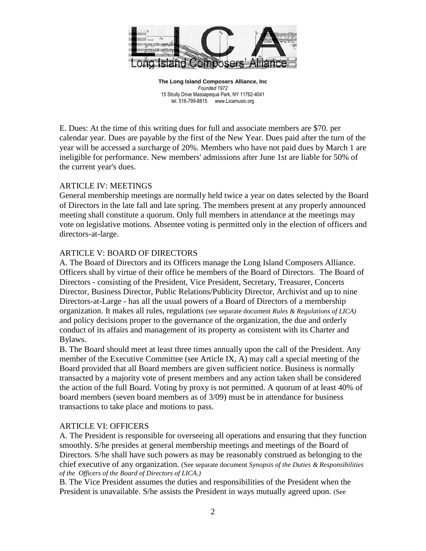

E. Dues: At the time of this writing dues for full and associate members are \$70. per calendar year. Dues are payable by the first of the New Year. Dues paid after the turn of the year will be accessed a surcharge of 20%. Members who have not paid dues by March 1 are ineligible for performance. New members' admissions after June 1st are liable for 50% of the current year's dues.

### ARTICLE IV: MEETINGS

General membership meetings are normally held twice a year on dates selected by the Board of Directors in the late fall and late spring. The members present at any properly announced meeting shall constitute a quorum. Only full members in attendance at the meetings may vote on legislative motions. Absentee voting is permitted only in the election of officers and directors-at-large.

### ARTICLE V: BOARD OF DIRECTORS

A. The Board of Directors and its Officers manage the Long Island Composers Alliance. Officers shall by virtue of their office be members of the Board of Directors. The Board of Directors - consisting of the President, Vice President, Secretary, Treasurer, Concerts Director, Business Director, Public Relations/Publicity Director, Archivist and up to nine Directors-at-Large - has all the usual powers of a Board of Directors of a membership organization. It makes all rules, regulations (see separate document *Rules & Regulations of LICA)*  and policy decisions proper to the governance of the organization, the due and orderly conduct of its affairs and management of its property as consistent with its Charter and Bylaws.

B. The Board should meet at least three times annually upon the call of the President. Any member of the Executive Committee (see Article IX, A) may call a special meeting of the Board provided that all Board members are given sufficient notice. Business is normally transacted by a majority vote of present members and any action taken shall be considered the action of the full Board. Voting by proxy is not permitted. A quorum of at least 40% of board members (seven board members as of 3/09) must be in attendance for business transactions to take place and motions to pass.

### ARTICLE VI: OFFICERS

A. The President is responsible for overseeing all operations and ensuring that they function smoothly. S/he presides at general membership meetings and meetings of the Board of Directors. S/he shall have such powers as may be reasonably construed as belonging to the chief executive of any organization. (See separate document *Synopsis of the Duties & Responsibilities of the Officers of the Board of Directors of LICA.)*

B. The Vice President assumes the duties and responsibilities of the President when the President is unavailable. S/he assists the President in ways mutually agreed upon. (See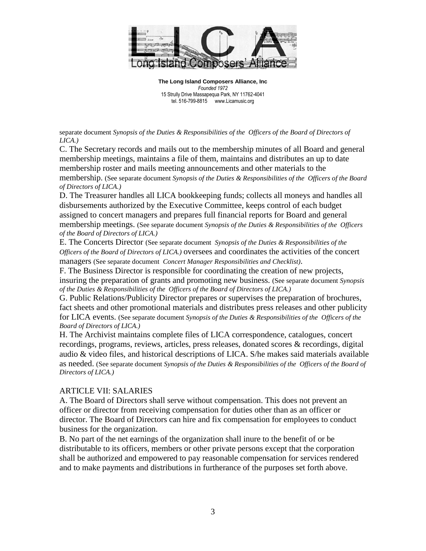

separate document *Synopsis of the Duties & Responsibilities of the Officers of the Board of Directors of LICA.)*

C. The Secretary records and mails out to the membership minutes of all Board and general membership meetings, maintains a file of them, maintains and distributes an up to date membership roster and mails meeting announcements and other materials to the membership. (See separate document *Synopsis of the Duties & Responsibilities of the Officers of the Board of Directors of LICA.)*

D. The Treasurer handles all LICA bookkeeping funds; collects all moneys and handles all disbursements authorized by the Executive Committee, keeps control of each budget assigned to concert managers and prepares full financial reports for Board and general membership meetings. (See separate document *Synopsis of the Duties & Responsibilities of the Officers of the Board of Directors of LICA.)*

E. The Concerts Director (See separate document *Synopsis of the Duties & Responsibilities of the Officers of the Board of Directors of LICA.)* oversees and coordinates the activities of the concert managers (See separate document *Concert Manager Responsibilities and Checklist)*.

F. The Business Director is responsible for coordinating the creation of new projects, insuring the preparation of grants and promoting new business. (See separate document *Synopsis of the Duties & Responsibilities of the Officers of the Board of Directors of LICA.)*

G. Public Relations/Publicity Director prepares or supervises the preparation of brochures, fact sheets and other promotional materials and distributes press releases and other publicity for LICA events. (See separate document *Synopsis of the Duties & Responsibilities of the Officers of the Board of Directors of LICA.)*

H. The Archivist maintains complete files of LICA correspondence, catalogues, concert recordings, programs, reviews, articles, press releases, donated scores & recordings, digital audio & video files, and historical descriptions of LICA. S/he makes said materials available as needed. (See separate document *Synopsis of the Duties & Responsibilities of the Officers of the Board of Directors of LICA.)*

# ARTICLE VII: SALARIES

A. The Board of Directors shall serve without compensation. This does not prevent an officer or director from receiving compensation for duties other than as an officer or director. The Board of Directors can hire and fix compensation for employees to conduct business for the organization.

B. No part of the net earnings of the organization shall inure to the benefit of or be distributable to its officers, members or other private persons except that the corporation shall be authorized and empowered to pay reasonable compensation for services rendered and to make payments and distributions in furtherance of the purposes set forth above.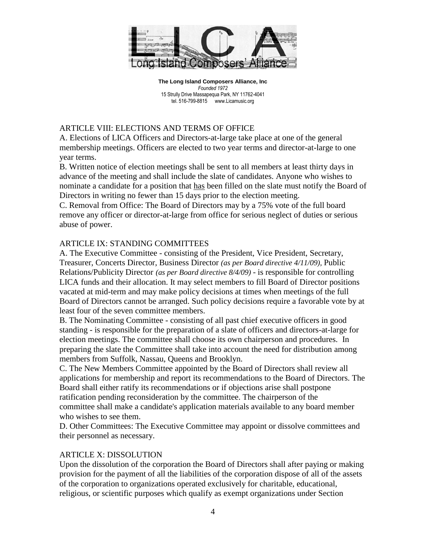

# ARTICLE VIII: ELECTIONS AND TERMS OF OFFICE

A. Elections of LICA Officers and Directors-at-large take place at one of the general membership meetings. Officers are elected to two year terms and director-at-large to one year terms.

B. Written notice of election meetings shall be sent to all members at least thirty days in advance of the meeting and shall include the slate of candidates. Anyone who wishes to nominate a candidate for a position that has been filled on the slate must notify the Board of Directors in writing no fewer than 15 days prior to the election meeting.

C. Removal from Office: The Board of Directors may by a 75% vote of the full board remove any officer or director-at-large from office for serious neglect of duties or serious abuse of power.

# ARTICLE IX: STANDING COMMITTEES

A. The Executive Committee - consisting of the President, Vice President, Secretary, Treasurer, Concerts Director, Business Director *(as per Board directive 4/11/09),* Public Relations/Publicity Director *(as per Board directive 8/4/09)* - is responsible for controlling LICA funds and their allocation. It may select members to fill Board of Director positions vacated at mid-term and may make policy decisions at times when meetings of the full Board of Directors cannot be arranged. Such policy decisions require a favorable vote by at least four of the seven committee members.

B. The Nominating Committee - consisting of all past chief executive officers in good standing - is responsible for the preparation of a slate of officers and directors-at-large for election meetings. The committee shall choose its own chairperson and procedures. In preparing the slate the Committee shall take into account the need for distribution among members from Suffolk, Nassau, Queens and Brooklyn.

C. The New Members Committee appointed by the Board of Directors shall review all applications for membership and report its recommendations to the Board of Directors. The Board shall either ratify its recommendations or if objections arise shall postpone ratification pending reconsideration by the committee. The chairperson of the committee shall make a candidate's application materials available to any board member who wishes to see them.

D. Other Committees: The Executive Committee may appoint or dissolve committees and their personnel as necessary.

# ARTICLE X: DISSOLUTION

Upon the dissolution of the corporation the Board of Directors shall after paying or making provision for the payment of all the liabilities of the corporation dispose of all of the assets of the corporation to organizations operated exclusively for charitable, educational, religious, or scientific purposes which qualify as exempt organizations under Section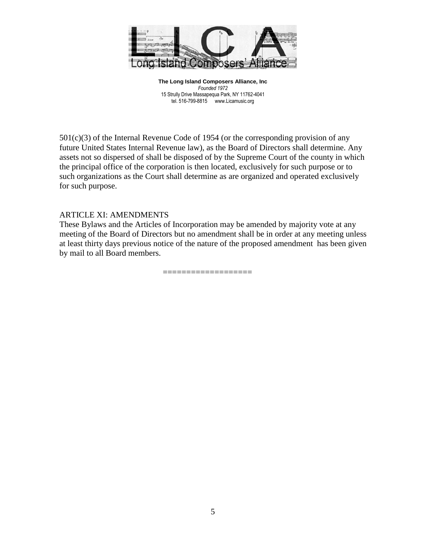

501(c)(3) of the Internal Revenue Code of 1954 (or the corresponding provision of any future United States Internal Revenue law), as the Board of Directors shall determine. Any assets not so dispersed of shall be disposed of by the Supreme Court of the county in which the principal office of the corporation is then located, exclusively for such purpose or to such organizations as the Court shall determine as are organized and operated exclusively for such purpose.

### ARTICLE XI: AMENDMENTS

These Bylaws and the Articles of Incorporation may be amended by majority vote at any meeting of the Board of Directors but no amendment shall be in order at any meeting unless at least thirty days previous notice of the nature of the proposed amendment has been given by mail to all Board members.

===================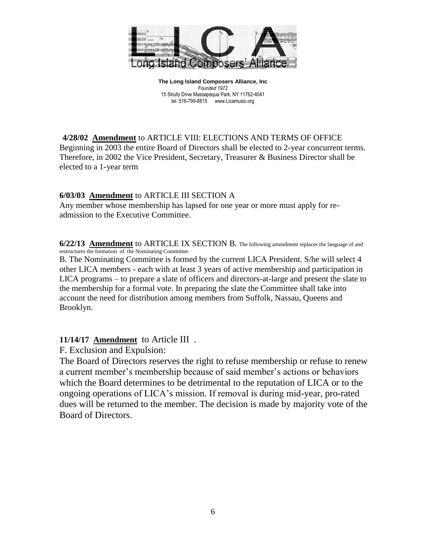

**4/28/02 Amendment** to ARTICLE VIII: ELECTIONS AND TERMS OF OFFICE Beginning in 2003 the entire Board of Directors shall be elected to 2-year concurrent terms. Therefore, in 2002 the Vice President, Secretary, Treasurer & Business Director shall be elected to a 1-year term

# **6/03/03 Amendment** to ARTICLE III SECTION A

Any member whose membership has lapsed for one year or more must apply for readmission to the Executive Committee.

**6/22/13 Amendment** to ARTICLE IX SECTION B. The following amendment replaces the language of and restructures the formation of the Nominating Committee.

B. The Nominating Committee is formed by the current LICA President. S/he will select 4 other LICA members - each with at least 3 years of active membership and participation in LICA programs – to prepare a slate of officers and directors-at-large and present the slate to the membership for a formal vote. In preparing the slate the Committee shall take into account the need for distribution among members from Suffolk, Nassau, Queens and Brooklyn.

# **11/14/17 Amendment** to Article III .

F. Exclusion and Expulsion:

The Board of Directors reserves the right to refuse membership or refuse to renew a current member's membership because of said member's actions or behaviors which the Board determines to be detrimental to the reputation of LICA or to the ongoing operations of LICA's mission. If removal is during mid-year, pro-rated dues will be returned to the member. The decision is made by majority vote of the Board of Directors.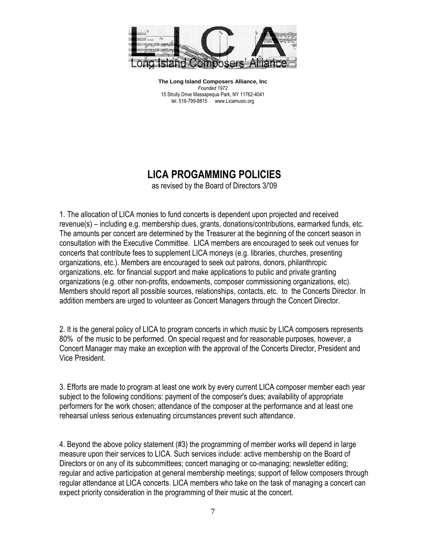

# **LICA PROGAMMING POLICIES**

as revised by the Board of Directors 3/'09

1. The allocation of LICA monies to fund concerts is dependent upon projected and received revenue(s) – including e.g. membership dues, grants, donations/contributions, earmarked funds, etc. The amounts per concert are determined by the Treasurer at the beginning of the concert season in consultation with the Executive Committee. LICA members are encouraged to seek out venues for concerts that contribute fees to supplement LICA moneys (e.g. libraries, churches, presenting organizations, etc.). Members are encouraged to seek out patrons, donors, philanthropic organizations, etc. for financial support and make applications to public and private granting organizations (e.g. other non-profits, endowments, composer commissioning organizations, etc). Members should report all possible sources, relationships, contacts, etc. to the Concerts Director. In addition members are urged to volunteer as Concert Managers through the Concert Director.

2. It is the general policy of LICA to program concerts in which music by LICA composers represents 80% of the music to be performed. On special request and for reasonable purposes, however, a Concert Manager may make an exception with the approval of the Concerts Director, President and Vice President.

3. Efforts are made to program at least one work by every current LICA composer member each year subject to the following conditions: payment of the composer's dues; availability of appropriate performers for the work chosen; attendance of the composer at the performance and at least one rehearsal unless serious extenuating circumstances prevent such attendance.

4. Beyond the above policy statement (#3) the programming of member works will depend in large measure upon their services to LICA. Such services include: active membership on the Board of Directors or on any of its subcommittees; concert managing or co-managing; newsletter editing; regular and active participation at general membership meetings; support of fellow composers through regular attendance at LICA concerts. LICA members who take on the task of managing a concert can expect priority consideration in the programming of their music at the concert.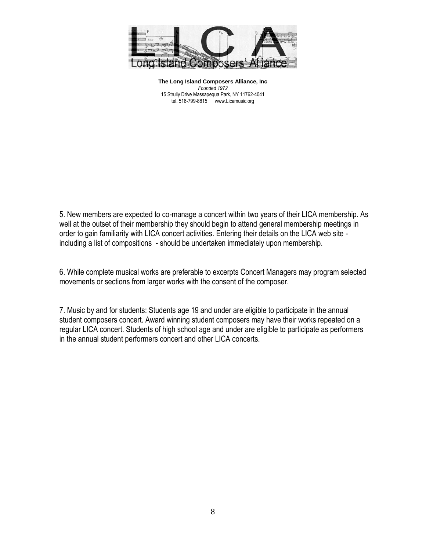

5. New members are expected to co-manage a concert within two years of their LICA membership. As well at the outset of their membership they should begin to attend general membership meetings in order to gain familiarity with LICA concert activities. Entering their details on the LICA web site including a list of compositions - should be undertaken immediately upon membership.

6. While complete musical works are preferable to excerpts Concert Managers may program selected movements or sections from larger works with the consent of the composer.

7. Music by and for students: Students age 19 and under are eligible to participate in the annual student composers concert. Award winning student composers may have their works repeated on a regular LICA concert. Students of high school age and under are eligible to participate as performers in the annual student performers concert and other LICA concerts.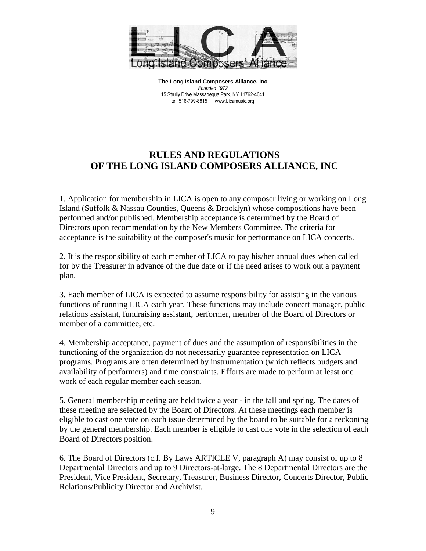

# **RULES AND REGULATIONS OF THE LONG ISLAND COMPOSERS ALLIANCE, INC**

1. Application for membership in LICA is open to any composer living or working on Long Island (Suffolk & Nassau Counties, Queens & Brooklyn) whose compositions have been performed and/or published. Membership acceptance is determined by the Board of Directors upon recommendation by the New Members Committee. The criteria for acceptance is the suitability of the composer's music for performance on LICA concerts.

2. It is the responsibility of each member of LICA to pay his/her annual dues when called for by the Treasurer in advance of the due date or if the need arises to work out a payment plan.

3. Each member of LICA is expected to assume responsibility for assisting in the various functions of running LICA each year. These functions may include concert manager, public relations assistant, fundraising assistant, performer, member of the Board of Directors or member of a committee, etc.

4. Membership acceptance, payment of dues and the assumption of responsibilities in the functioning of the organization do not necessarily guarantee representation on LICA programs. Programs are often determined by instrumentation (which reflects budgets and availability of performers) and time constraints. Efforts are made to perform at least one work of each regular member each season.

5. General membership meeting are held twice a year - in the fall and spring. The dates of these meeting are selected by the Board of Directors. At these meetings each member is eligible to cast one vote on each issue determined by the board to be suitable for a reckoning by the general membership. Each member is eligible to cast one vote in the selection of each Board of Directors position.

6. The Board of Directors (c.f. By Laws ARTICLE V, paragraph A) may consist of up to 8 Departmental Directors and up to 9 Directors-at-large. The 8 Departmental Directors are the President, Vice President, Secretary, Treasurer, Business Director, Concerts Director, Public Relations/Publicity Director and Archivist.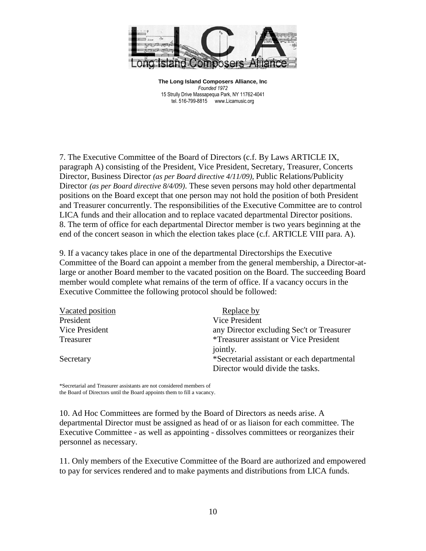

7. The Executive Committee of the Board of Directors (c.f. By Laws ARTICLE IX, paragraph A) consisting of the President, Vice President, Secretary, Treasurer, Concerts Director, Business Director *(as per Board directive 4/11/09),* Public Relations/Publicity Director *(as per Board directive 8/4/09)*. These seven persons may hold other departmental positions on the Board except that one person may not hold the position of both President and Treasurer concurrently. The responsibilities of the Executive Committee are to control LICA funds and their allocation and to replace vacated departmental Director positions. 8. The term of office for each departmental Director member is two years beginning at the end of the concert season in which the election takes place (c.f. ARTICLE VIII para. A).

9. If a vacancy takes place in one of the departmental Directorships the Executive Committee of the Board can appoint a member from the general membership, a Director-atlarge or another Board member to the vacated position on the Board. The succeeding Board member would complete what remains of the term of office. If a vacancy occurs in the Executive Committee the following protocol should be followed:

| Vacated position | Replace by                                    |
|------------------|-----------------------------------------------|
| President        | <b>Vice President</b>                         |
| Vice President   | any Director excluding Sec't or Treasurer     |
| Treasurer        | <i>*Treasurer assistant or Vice President</i> |
|                  | jointly.                                      |
| Secretary        | *Secretarial assistant or each departmental   |
|                  | Director would divide the tasks.              |

\*Secretarial and Treasurer assistants are not considered members of the Board of Directors until the Board appoints them to fill a vacancy.

10. Ad Hoc Committees are formed by the Board of Directors as needs arise. A departmental Director must be assigned as head of or as liaison for each committee. The Executive Committee - as well as appointing - dissolves committees or reorganizes their personnel as necessary.

11. Only members of the Executive Committee of the Board are authorized and empowered to pay for services rendered and to make payments and distributions from LICA funds.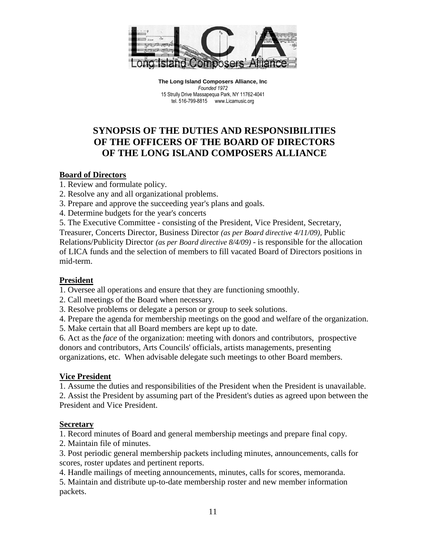

# **SYNOPSIS OF THE DUTIES AND RESPONSIBILITIES OF THE OFFICERS OF THE BOARD OF DIRECTORS OF THE LONG ISLAND COMPOSERS ALLIANCE**

# **Board of Directors**

- 1. Review and formulate policy.
- 2. Resolve any and all organizational problems.
- 3. Prepare and approve the succeeding year's plans and goals.
- 4. Determine budgets for the year's concerts
- 5. The Executive Committee consisting of the President, Vice President, Secretary,

Treasurer, Concerts Director, Business Director *(as per Board directive 4/11/09),* Public Relations/Publicity Director *(as per Board directive 8/4/09)* - is responsible for the allocation of LICA funds and the selection of members to fill vacated Board of Directors positions in mid-term.

# **President**

1. Oversee all operations and ensure that they are functioning smoothly.

- 2. Call meetings of the Board when necessary.
- 3. Resolve problems or delegate a person or group to seek solutions.
- 4. Prepare the agenda for membership meetings on the good and welfare of the organization.
- 5. Make certain that all Board members are kept up to date.

6. Act as the *face* of the organization: meeting with donors and contributors, prospective donors and contributors, Arts Councils' officials, artists managements, presenting organizations, etc. When advisable delegate such meetings to other Board members.

# **Vice President**

1. Assume the duties and responsibilities of the President when the President is unavailable.

2. Assist the President by assuming part of the President's duties as agreed upon between the President and Vice President.

# **Secretary**

1. Record minutes of Board and general membership meetings and prepare final copy.

2. Maintain file of minutes.

3. Post periodic general membership packets including minutes, announcements, calls for scores, roster updates and pertinent reports.

4. Handle mailings of meeting announcements, minutes, calls for scores, memoranda.

5. Maintain and distribute up-to-date membership roster and new member information packets.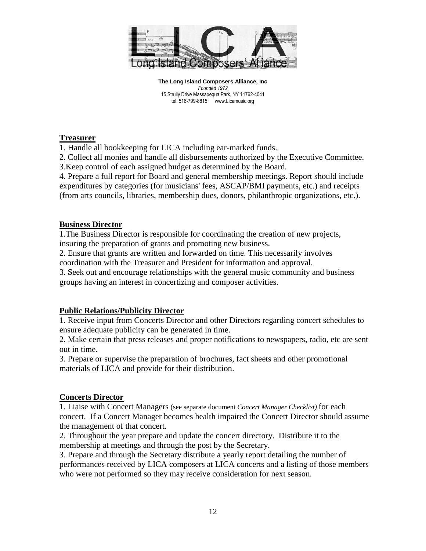

### **Treasurer**

1. Handle all bookkeeping for LICA including ear-marked funds.

2. Collect all monies and handle all disbursements authorized by the Executive Committee.

3.Keep control of each assigned budget as determined by the Board.

4. Prepare a full report for Board and general membership meetings. Report should include expenditures by categories (for musicians' fees, ASCAP/BMI payments, etc.) and receipts (from arts councils, libraries, membership dues, donors, philanthropic organizations, etc.).

### **Business Director**

1.The Business Director is responsible for coordinating the creation of new projects, insuring the preparation of grants and promoting new business.

2. Ensure that grants are written and forwarded on time. This necessarily involves coordination with the Treasurer and President for information and approval.

3. Seek out and encourage relationships with the general music community and business groups having an interest in concertizing and composer activities.

# **Public Relations/Publicity Director**

1. Receive input from Concerts Director and other Directors regarding concert schedules to ensure adequate publicity can be generated in time.

2. Make certain that press releases and proper notifications to newspapers, radio, etc are sent out in time.

3. Prepare or supervise the preparation of brochures, fact sheets and other promotional materials of LICA and provide for their distribution.

# **Concerts Director**

1. Liaise with Concert Managers (see separate document *Concert Manager Checklist)* for each concert. If a Concert Manager becomes health impaired the Concert Director should assume the management of that concert.

2. Throughout the year prepare and update the concert directory. Distribute it to the membership at meetings and through the post by the Secretary.

3. Prepare and through the Secretary distribute a yearly report detailing the number of performances received by LICA composers at LICA concerts and a listing of those members who were not performed so they may receive consideration for next season.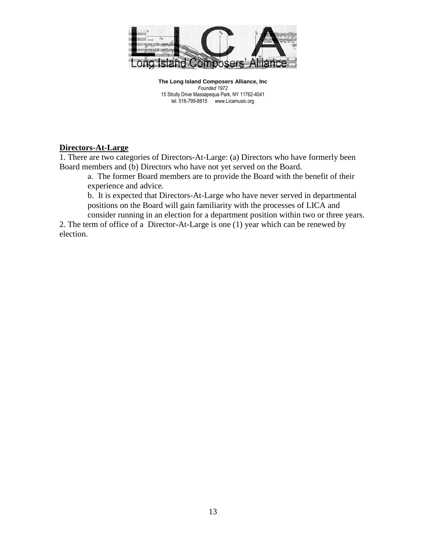

# **Directors-At-Large**

1. There are two categories of Directors-At-Large: (a) Directors who have formerly been Board members and (b) Directors who have not yet served on the Board.

a. The former Board members are to provide the Board with the benefit of their experience and advice.

b. It is expected that Directors-At-Large who have never served in departmental positions on the Board will gain familiarity with the processes of LICA and consider running in an election for a department position within two or three years.

2. The term of office of a Director-At-Large is one (1) year which can be renewed by election.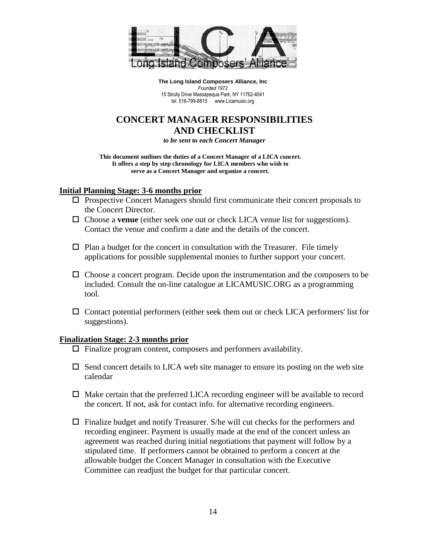

# **CONCERT MANAGER RESPONSIBILITIES AND CHECKLIST**

*to be sent to each Concert Manager*

**This document outlines the duties of a Concert Manager of a LICA concert. It offers a step by step chronology for LICA members who wish to serve as a Concert Manager and organize a concert.**

### **Initial Planning Stage: 3-6 months prior**

- $\Box$  Prospective Concert Managers should first communicate their concert proposals to the Concert Director.
- Choose a **venue** (either seek one out or check LICA venue list for suggestions). Contact the venue and confirm a date and the details of the concert.
- $\Box$  Plan a budget for the concert in consultation with the Treasurer. File timely applications for possible supplemental monies to further support your concert.
- $\Box$  Choose a concert program. Decide upon the instrumentation and the composers to be included. Consult the on-line catalogue at LICAMUSIC.ORG as a programming tool.
- $\Box$  Contact potential performers (either seek them out or check LICA performers' list for suggestions).

#### **Finalization Stage: 2-3 months prior**

- $\Box$  Finalize program content, composers and performers availability.
- $\Box$  Send concert details to LICA web site manager to ensure its posting on the web site calendar
- $\Box$  Make certain that the preferred LICA recording engineer will be available to record the concert. If not, ask for contact info. for alternative recording engineers.
- $\Box$  Finalize budget and notify Treasurer. S/he will cut checks for the performers and recording engineer. Payment is usually made at the end of the concert unless an agreement was reached during initial negotiations that payment will follow by a stipulated time. If performers cannot be obtained to perform a concert at the allowable budget the Concert Manager in consultation with the Executive Committee can readjust the budget for that particular concert.